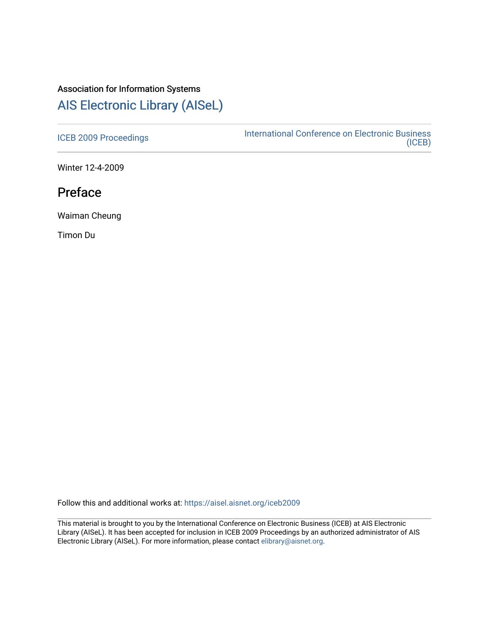## Association for Information Systems

## [AIS Electronic Library \(AISeL\)](https://aisel.aisnet.org/)

[ICEB 2009 Proceedings](https://aisel.aisnet.org/iceb2009) **International Conference on Electronic Business** [\(ICEB\)](https://aisel.aisnet.org/iceb) 

Winter 12-4-2009

## Preface

Waiman Cheung

Timon Du

Follow this and additional works at: [https://aisel.aisnet.org/iceb2009](https://aisel.aisnet.org/iceb2009?utm_source=aisel.aisnet.org%2Ficeb2009%2F1&utm_medium=PDF&utm_campaign=PDFCoverPages)

This material is brought to you by the International Conference on Electronic Business (ICEB) at AIS Electronic Library (AISeL). It has been accepted for inclusion in ICEB 2009 Proceedings by an authorized administrator of AIS Electronic Library (AISeL). For more information, please contact [elibrary@aisnet.org.](mailto:elibrary@aisnet.org%3E)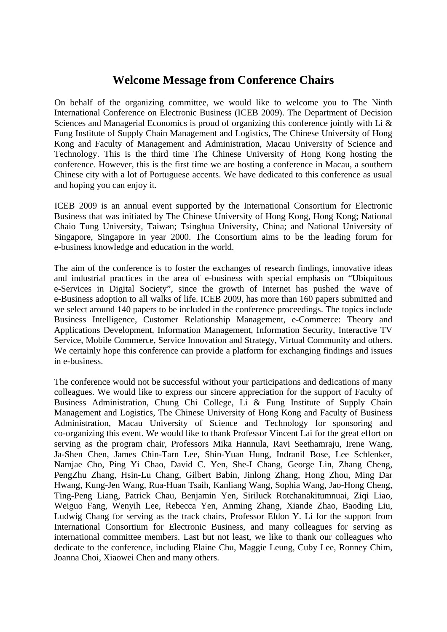## **Welcome Message from Conference Chairs**

On behalf of the organizing committee, we would like to welcome you to The Ninth International Conference on Electronic Business (ICEB 2009). The Department of Decision Sciences and Managerial Economics is proud of organizing this conference jointly with Li & Fung Institute of Supply Chain Management and Logistics, The Chinese University of Hong Kong and Faculty of Management and Administration, Macau University of Science and Technology. This is the third time The Chinese University of Hong Kong hosting the conference. However, this is the first time we are hosting a conference in Macau, a southern Chinese city with a lot of Portuguese accents. We have dedicated to this conference as usual and hoping you can enjoy it.

ICEB 2009 is an annual event supported by the International Consortium for Electronic Business that was initiated by The Chinese University of Hong Kong, Hong Kong; National Chaio Tung University, Taiwan; Tsinghua University, China; and National University of Singapore, Singapore in year 2000. The Consortium aims to be the leading forum for e-business knowledge and education in the world.

The aim of the conference is to foster the exchanges of research findings, innovative ideas and industrial practices in the area of e-business with special emphasis on "Ubiquitous e-Services in Digital Society", since the growth of Internet has pushed the wave of e-Business adoption to all walks of life. ICEB 2009, has more than 160 papers submitted and we select around 140 papers to be included in the conference proceedings. The topics include Business Intelligence, Customer Relationship Management, e-Commerce: Theory and Applications Development, Information Management, Information Security, Interactive TV Service, Mobile Commerce, Service Innovation and Strategy, Virtual Community and others. We certainly hope this conference can provide a platform for exchanging findings and issues in e-business.

The conference would not be successful without your participations and dedications of many colleagues. We would like to express our sincere appreciation for the support of Faculty of Business Administration, Chung Chi College, Li & Fung Institute of Supply Chain Management and Logistics, The Chinese University of Hong Kong and Faculty of Business Administration, Macau University of Science and Technology for sponsoring and co-organizing this event. We would like to thank Professor Vincent Lai for the great effort on serving as the program chair, Professors Mika Hannula, Ravi Seethamraju, Irene Wang, Ja-Shen Chen, James Chin-Tarn Lee, Shin-Yuan Hung, Indranil Bose, Lee Schlenker, Namjae Cho, Ping Yi Chao, David C. Yen, She-I Chang, George Lin, Zhang Cheng, PengZhu Zhang, Hsin-Lu Chang, Gilbert Babin, Jinlong Zhang, Hong Zhou, Ming Dar Hwang, Kung-Jen Wang, Rua-Huan Tsaih, Kanliang Wang, Sophia Wang, Jao-Hong Cheng, Ting-Peng Liang, Patrick Chau, Benjamin Yen, Siriluck Rotchanakitumnuai, Ziqi Liao, Weiguo Fang, Wenyih Lee, Rebecca Yen, Anming Zhang, Xiande Zhao, Baoding Liu, Ludwig Chang for serving as the track chairs, Professor Eldon Y. Li for the support from International Consortium for Electronic Business, and many colleagues for serving as international committee members. Last but not least, we like to thank our colleagues who dedicate to the conference, including Elaine Chu, Maggie Leung, Cuby Lee, Ronney Chim, Joanna Choi, Xiaowei Chen and many others.